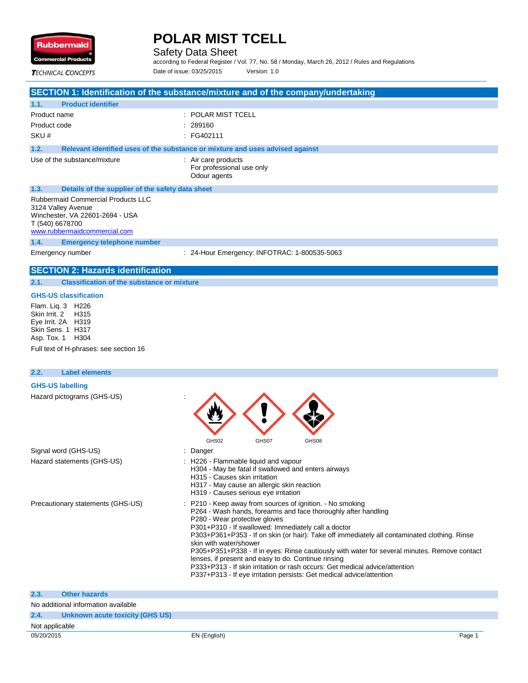

Safety Data Sheet

according to Federal Register / Vol. 77, No. 58 / Monday, March 26, 2012 / Rules and Regulations Date of issue: 03/25/2015 Version: 1.0

**TECHNICAL CONCEPTS** 

## **SECTION 1: Identification of the substance/mixture and of the company/undertaking**

| 1.1.                                                                                                                                                  | <b>Product identifier</b>                        |                                                                               |
|-------------------------------------------------------------------------------------------------------------------------------------------------------|--------------------------------------------------|-------------------------------------------------------------------------------|
| Product name                                                                                                                                          |                                                  | $:$ POLAR MIST TCELL                                                          |
| Product code                                                                                                                                          |                                                  | . 289160                                                                      |
| SKU#                                                                                                                                                  |                                                  | :FG402111                                                                     |
| 1.2.                                                                                                                                                  |                                                  | Relevant identified uses of the substance or mixture and uses advised against |
|                                                                                                                                                       | Use of the substance/mixture                     | : Air care products<br>For professional use only<br>Odour agents              |
| 1.3.                                                                                                                                                  | Details of the supplier of the safety data sheet |                                                                               |
| <b>Rubbermaid Commercial Products LLC</b><br>3124 Valley Avenue<br>Winchester, VA 22601-2694 - USA<br>T (540) 6678700<br>www.rubbermaidcommercial.com |                                                  |                                                                               |
| 1.4.                                                                                                                                                  | <b>Emergency telephone number</b>                |                                                                               |
| Emergency number                                                                                                                                      |                                                  | : 24-Hour Emergency: INFOTRAC: 1-800535-5063                                  |

## **SECTION 2: Hazards identification**

#### **2.1. Classification of the substance or mixture**

#### **GHS-US classification**

Flam. Liq. 3 H226<br>Skin Irrit. 2 H315 Skin Irrit. 2 Eye Irrit. 2A H319 Skin Sens. 1 H317 Asp. Tox. 1 H304 Full text of H-phrases: see section 16

## **2.2. Label elements GHS-US labelling** Hazard pictograms (GHS-US) : GHS02 GHS07 GHS08 Signal word (GHS-US) **in the state of the Signal word (GHS-US)** and the state of the state of the state of the state of the state of the state of the state of the state of the state of the state of the state of the state o Hazard statements (GHS-US) : H226 - Flammable liquid and vapour H304 - May be fatal if swallowed and enters airways H315 - Causes skin irritation H317 - May cause an allergic skin reaction H319 - Causes serious eye irritation Precautionary statements (GHS-US) : P210 - Keep away from sources of ignition. - No smoking P264 - Wash hands, forearms and face thoroughly after handling P280 - Wear protective gloves P301+P310 - If swallowed: Immediately call a doctor P303+P361+P353 - If on skin (or hair): Take off immediately all contaminated clothing. Rinse skin with water/shower P305+P351+P338 - If in eyes: Rinse cautiously with water for several minutes. Remove contact lenses, if present and easy to do. Continue rinsing P333+P313 - If skin irritation or rash occurs: Get medical advice/attention P337+P313 - If eye irritation persists: Get medical advice/attention

| 2.3.           | <b>Other hazards</b>                |              |                   |
|----------------|-------------------------------------|--------------|-------------------|
|                | No additional information available |              |                   |
| 2.4.           | Unknown acute toxicity (GHS US)     |              |                   |
| Not applicable |                                     |              |                   |
| 05/20/2015     |                                     | EN (English) | Page <sup>1</sup> |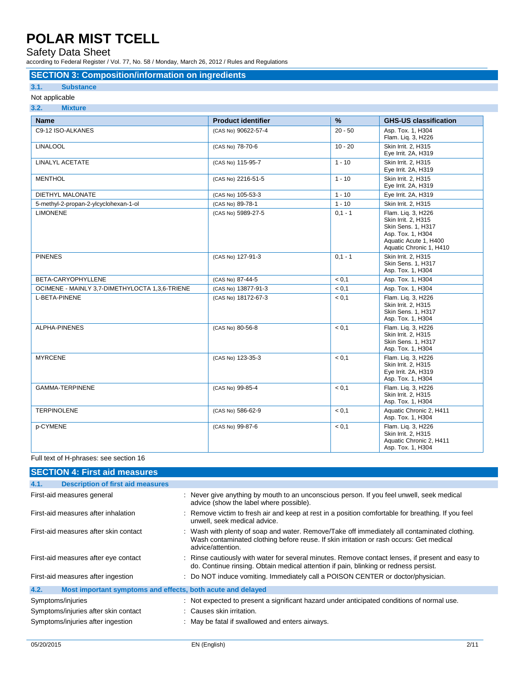### Safety Data Sheet

according to Federal Register / Vol. 77, No. 58 / Monday, March 26, 2012 / Rules and Regulations

### **SECTION 3: Composition/information on ingredients**

#### **3.1. Substance**

#### Not applicable **3.2. Mixture**

| $\mathbf{v}$ . As a                            |                           |           |                                                                                                                                          |
|------------------------------------------------|---------------------------|-----------|------------------------------------------------------------------------------------------------------------------------------------------|
| <b>Name</b>                                    | <b>Product identifier</b> | %         | <b>GHS-US classification</b>                                                                                                             |
| C9-12 ISO-ALKANES                              | (CAS No) 90622-57-4       | $20 - 50$ | Asp. Tox. 1, H304<br>Flam. Liq. 3, H226                                                                                                  |
| <b>LINALOOL</b>                                | (CAS No) 78-70-6          | $10 - 20$ | Skin Irrit. 2, H315<br>Eye Irrit. 2A, H319                                                                                               |
| <b>LINALYL ACETATE</b>                         | (CAS No) 115-95-7         | $1 - 10$  | Skin Irrit. 2, H315<br>Eye Irrit. 2A, H319                                                                                               |
| <b>MENTHOL</b>                                 | (CAS No) 2216-51-5        | $1 - 10$  | Skin Irrit. 2, H315<br>Eye Irrit. 2A, H319                                                                                               |
| <b>DIETHYL MALONATE</b>                        | (CAS No) 105-53-3         | $1 - 10$  | Eye Irrit. 2A, H319                                                                                                                      |
| 5-methyl-2-propan-2-ylcyclohexan-1-ol          | (CAS No) 89-78-1          | $1 - 10$  | Skin Irrit. 2. H315                                                                                                                      |
| <b>LIMONENE</b>                                | (CAS No) 5989-27-5        | $0,1 - 1$ | Flam. Liq. 3, H226<br>Skin Irrit. 2, H315<br>Skin Sens. 1, H317<br>Asp. Tox. 1, H304<br>Aquatic Acute 1, H400<br>Aquatic Chronic 1, H410 |
| <b>PINENES</b>                                 | (CAS No) 127-91-3         | $0.1 - 1$ | Skin Irrit. 2. H315<br>Skin Sens. 1, H317<br>Asp. Tox. 1, H304                                                                           |
| BETA-CARYOPHYLLENE                             | (CAS No) 87-44-5          | < 0.1     | Asp. Tox. 1, H304                                                                                                                        |
| OCIMENE - MAINLY 3,7-DIMETHYLOCTA 1,3,6-TRIENE | (CAS No) 13877-91-3       | < 0.1     | Asp. Tox. 1, H304                                                                                                                        |
| L-BETA-PINENE                                  | (CAS No) 18172-67-3       | < 0.1     | Flam. Liq. 3, H226<br>Skin Irrit. 2, H315<br>Skin Sens. 1, H317<br>Asp. Tox. 1, H304                                                     |
| <b>ALPHA-PINENES</b>                           | (CAS No) 80-56-8          | < 0.1     | Flam. Liq. 3, H226<br>Skin Irrit. 2. H315<br>Skin Sens. 1, H317<br>Asp. Tox. 1, H304                                                     |
| <b>MYRCENE</b>                                 | (CAS No) 123-35-3         | < 0.1     | Flam. Liq. 3, H226<br>Skin Irrit. 2, H315<br>Eye Irrit. 2A, H319<br>Asp. Tox. 1, H304                                                    |
| <b>GAMMA-TERPINENE</b>                         | (CAS No) 99-85-4          | < 0.1     | Flam. Lig. 3, H226<br>Skin Irrit. 2, H315<br>Asp. Tox. 1, H304                                                                           |
| <b>TERPINOLENE</b>                             | (CAS No) 586-62-9         | < 0.1     | Aquatic Chronic 2, H411<br>Asp. Tox. 1, H304                                                                                             |
| p-CYMENE                                       | (CAS No) 99-87-6          | < 0.1     | Flam. Lig. 3, H226<br>Skin Irrit. 2. H315<br>Aquatic Chronic 2, H411<br>Asp. Tox. 1, H304                                                |

### Full text of H-phrases: see section 16

| <b>SECTION 4: First aid measures</b>                                |                                                                                                                                                                                                              |  |
|---------------------------------------------------------------------|--------------------------------------------------------------------------------------------------------------------------------------------------------------------------------------------------------------|--|
| <b>Description of first aid measures</b><br>4.1.                    |                                                                                                                                                                                                              |  |
| First-aid measures general                                          | : Never give anything by mouth to an unconscious person. If you feel unwell, seek medical<br>advice (show the label where possible).                                                                         |  |
| First-aid measures after inhalation                                 | : Remove victim to fresh air and keep at rest in a position comfortable for breathing. If you feel<br>unwell, seek medical advice.                                                                           |  |
| First-aid measures after skin contact                               | : Wash with plenty of soap and water. Remove/Take off immediately all contaminated clothing.<br>Wash contaminated clothing before reuse. If skin irritation or rash occurs: Get medical<br>advice/attention. |  |
| First-aid measures after eye contact                                | : Rinse cautiously with water for several minutes. Remove contact lenses, if present and easy to<br>do. Continue rinsing. Obtain medical attention if pain, blinking or redness persist.                     |  |
| First-aid measures after ingestion                                  | : Do NOT induce vomiting. Immediately call a POISON CENTER or doctor/physician.                                                                                                                              |  |
| Most important symptoms and effects, both acute and delayed<br>4.2. |                                                                                                                                                                                                              |  |
| Symptoms/injuries                                                   | : Not expected to present a significant hazard under anticipated conditions of normal use.                                                                                                                   |  |
| Symptoms/injuries after skin contact                                | : Causes skin irritation.                                                                                                                                                                                    |  |
| Symptoms/injuries after ingestion                                   | : May be fatal if swallowed and enters airways.                                                                                                                                                              |  |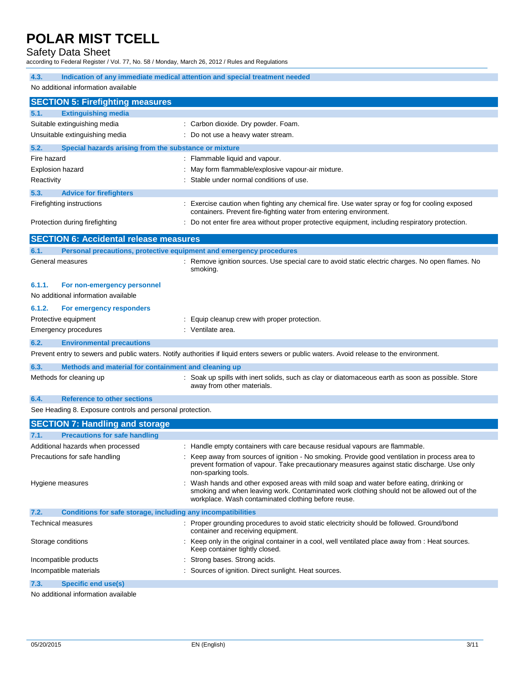## Safety Data Sheet

according to Federal Register / Vol. 77, No. 58 / Monday, March 26, 2012 / Rules and Regulations

| $\frac{1}{2}$ and $\frac{1}{2}$ and $\frac{1}{2}$ and $\frac{1}{2}$ and $\frac{1}{2}$ and $\frac{1}{2}$ and $\frac{1}{2}$ and $\frac{1}{2}$ and $\frac{1}{2}$ and $\frac{1}{2}$ and $\frac{1}{2}$ and $\frac{1}{2}$ and $\frac{1}{2}$ and $\frac{1}{2}$ and $\frac{1}{2}$ and $\frac{1}{2}$ a |                                                                                                                                                                                                                                             |  |  |  |  |
|-----------------------------------------------------------------------------------------------------------------------------------------------------------------------------------------------------------------------------------------------------------------------------------------------|---------------------------------------------------------------------------------------------------------------------------------------------------------------------------------------------------------------------------------------------|--|--|--|--|
| 4.3.<br>Indication of any immediate medical attention and special treatment needed                                                                                                                                                                                                            |                                                                                                                                                                                                                                             |  |  |  |  |
| No additional information available                                                                                                                                                                                                                                                           |                                                                                                                                                                                                                                             |  |  |  |  |
| <b>SECTION 5: Firefighting measures</b>                                                                                                                                                                                                                                                       |                                                                                                                                                                                                                                             |  |  |  |  |
| <b>Extinguishing media</b><br>5.1.                                                                                                                                                                                                                                                            |                                                                                                                                                                                                                                             |  |  |  |  |
| Suitable extinguishing media                                                                                                                                                                                                                                                                  | : Carbon dioxide. Dry powder. Foam.                                                                                                                                                                                                         |  |  |  |  |
| Unsuitable extinguishing media                                                                                                                                                                                                                                                                | Do not use a heavy water stream.                                                                                                                                                                                                            |  |  |  |  |
| 5.2.<br>Special hazards arising from the substance or mixture                                                                                                                                                                                                                                 |                                                                                                                                                                                                                                             |  |  |  |  |
| Fire hazard                                                                                                                                                                                                                                                                                   | : Flammable liquid and vapour.                                                                                                                                                                                                              |  |  |  |  |
| <b>Explosion hazard</b>                                                                                                                                                                                                                                                                       | May form flammable/explosive vapour-air mixture.                                                                                                                                                                                            |  |  |  |  |
| Reactivity                                                                                                                                                                                                                                                                                    | Stable under normal conditions of use.                                                                                                                                                                                                      |  |  |  |  |
| 5.3.<br><b>Advice for firefighters</b>                                                                                                                                                                                                                                                        |                                                                                                                                                                                                                                             |  |  |  |  |
| Firefighting instructions                                                                                                                                                                                                                                                                     | Exercise caution when fighting any chemical fire. Use water spray or fog for cooling exposed<br>containers. Prevent fire-fighting water from entering environment.                                                                          |  |  |  |  |
| Protection during firefighting                                                                                                                                                                                                                                                                | Do not enter fire area without proper protective equipment, including respiratory protection.                                                                                                                                               |  |  |  |  |
| <b>SECTION 6: Accidental release measures</b>                                                                                                                                                                                                                                                 |                                                                                                                                                                                                                                             |  |  |  |  |
| 6.1.                                                                                                                                                                                                                                                                                          | Personal precautions, protective equipment and emergency procedures                                                                                                                                                                         |  |  |  |  |
| General measures                                                                                                                                                                                                                                                                              | Remove ignition sources. Use special care to avoid static electric charges. No open flames. No<br>smoking.                                                                                                                                  |  |  |  |  |
| 6.1.1.<br>For non-emergency personnel                                                                                                                                                                                                                                                         |                                                                                                                                                                                                                                             |  |  |  |  |
| No additional information available                                                                                                                                                                                                                                                           |                                                                                                                                                                                                                                             |  |  |  |  |
| 6.1.2.<br>For emergency responders                                                                                                                                                                                                                                                            |                                                                                                                                                                                                                                             |  |  |  |  |
| Protective equipment                                                                                                                                                                                                                                                                          | : Equip cleanup crew with proper protection.                                                                                                                                                                                                |  |  |  |  |
| Emergency procedures                                                                                                                                                                                                                                                                          | : Ventilate area.                                                                                                                                                                                                                           |  |  |  |  |
| 6.2.<br><b>Environmental precautions</b>                                                                                                                                                                                                                                                      |                                                                                                                                                                                                                                             |  |  |  |  |
|                                                                                                                                                                                                                                                                                               | Prevent entry to sewers and public waters. Notify authorities if liquid enters sewers or public waters. Avoid release to the environment.                                                                                                   |  |  |  |  |
| 6.3.<br>Methods and material for containment and cleaning up                                                                                                                                                                                                                                  |                                                                                                                                                                                                                                             |  |  |  |  |
| Methods for cleaning up                                                                                                                                                                                                                                                                       | Soak up spills with inert solids, such as clay or diatomaceous earth as soon as possible. Store<br>away from other materials.                                                                                                               |  |  |  |  |
| <b>Reference to other sections</b><br>6.4.                                                                                                                                                                                                                                                    |                                                                                                                                                                                                                                             |  |  |  |  |
| See Heading 8. Exposure controls and personal protection.                                                                                                                                                                                                                                     |                                                                                                                                                                                                                                             |  |  |  |  |
| <b>SECTION 7: Handling and storage</b>                                                                                                                                                                                                                                                        |                                                                                                                                                                                                                                             |  |  |  |  |
| <b>Precautions for safe handling</b><br>7.1.                                                                                                                                                                                                                                                  |                                                                                                                                                                                                                                             |  |  |  |  |
| Additional hazards when processed                                                                                                                                                                                                                                                             | : Handle empty containers with care because residual vapours are flammable.                                                                                                                                                                 |  |  |  |  |
| Precautions for safe handling                                                                                                                                                                                                                                                                 | : Keep away from sources of ignition - No smoking. Provide good ventilation in process area to<br>prevent formation of vapour. Take precautionary measures against static discharge. Use only<br>non-sparking tools.                        |  |  |  |  |
| Hygiene measures                                                                                                                                                                                                                                                                              | Wash hands and other exposed areas with mild soap and water before eating, drinking or<br>smoking and when leaving work. Contaminated work clothing should not be allowed out of the<br>workplace. Wash contaminated clothing before reuse. |  |  |  |  |
| 7.2.<br>Conditions for safe storage, including any incompatibilities                                                                                                                                                                                                                          |                                                                                                                                                                                                                                             |  |  |  |  |
| Technical measures                                                                                                                                                                                                                                                                            | : Proper grounding procedures to avoid static electricity should be followed. Ground/bond<br>container and receiving equipment.                                                                                                             |  |  |  |  |
| Storage conditions                                                                                                                                                                                                                                                                            | Keep only in the original container in a cool, well ventilated place away from : Heat sources.<br>Keep container tightly closed.                                                                                                            |  |  |  |  |
| Incompatible products                                                                                                                                                                                                                                                                         | Strong bases. Strong acids.                                                                                                                                                                                                                 |  |  |  |  |
| Incompatible materials                                                                                                                                                                                                                                                                        | Sources of ignition. Direct sunlight. Heat sources.                                                                                                                                                                                         |  |  |  |  |
| <b>Specific end use(s)</b><br>7.3.                                                                                                                                                                                                                                                            |                                                                                                                                                                                                                                             |  |  |  |  |

No additional information available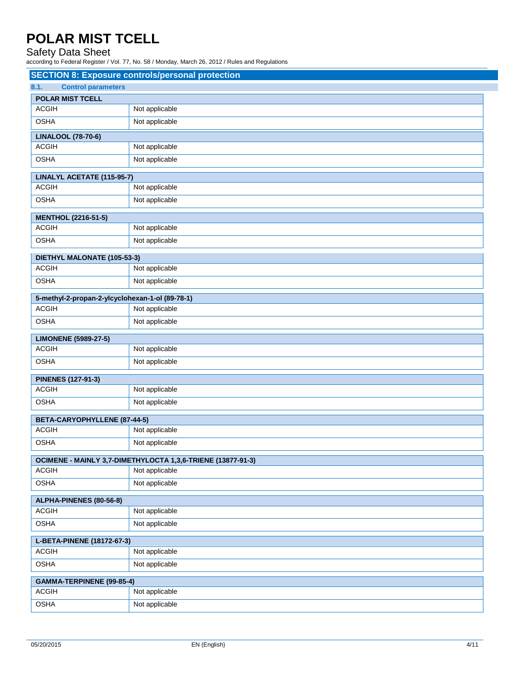### Safety Data Sheet

according to Federal Register / Vol. 77, No. 58 / Monday, March 26, 2012 / Rules and Regulations

| <b>SECTION 8: Exposure controls/personal protection</b> |                                                             |  |
|---------------------------------------------------------|-------------------------------------------------------------|--|
| <b>Control parameters</b><br>8.1.                       |                                                             |  |
| <b>POLAR MIST TCELL</b>                                 |                                                             |  |
| <b>ACGIH</b>                                            | Not applicable                                              |  |
| <b>OSHA</b>                                             | Not applicable                                              |  |
| <b>LINALOOL (78-70-6)</b>                               |                                                             |  |
| <b>ACGIH</b>                                            | Not applicable                                              |  |
| <b>OSHA</b>                                             | Not applicable                                              |  |
| LINALYL ACETATE (115-95-7)                              |                                                             |  |
| <b>ACGIH</b>                                            | Not applicable                                              |  |
| <b>OSHA</b>                                             | Not applicable                                              |  |
| <b>MENTHOL (2216-51-5)</b>                              |                                                             |  |
| <b>ACGIH</b>                                            | Not applicable                                              |  |
| <b>OSHA</b>                                             | Not applicable                                              |  |
|                                                         |                                                             |  |
| DIETHYL MALONATE (105-53-3)<br><b>ACGIH</b>             | Not applicable                                              |  |
| <b>OSHA</b>                                             | Not applicable                                              |  |
|                                                         |                                                             |  |
| 5-methyl-2-propan-2-ylcyclohexan-1-ol (89-78-1)         |                                                             |  |
| <b>ACGIH</b>                                            | Not applicable                                              |  |
| <b>OSHA</b>                                             | Not applicable                                              |  |
| <b>LIMONENE (5989-27-5)</b>                             |                                                             |  |
| <b>ACGIH</b>                                            | Not applicable                                              |  |
| <b>OSHA</b>                                             | Not applicable                                              |  |
| <b>PINENES (127-91-3)</b>                               |                                                             |  |
| <b>ACGIH</b>                                            | Not applicable                                              |  |
| <b>OSHA</b>                                             | Not applicable                                              |  |
| BETA-CARYOPHYLLENE (87-44-5)                            |                                                             |  |
| <b>ACGIH</b>                                            | Not applicable                                              |  |
| <b>OSHA</b>                                             | Not applicable                                              |  |
|                                                         | OCIMENE - MAINLY 3,7-DIMETHYLOCTA 1,3,6-TRIENE (13877-91-3) |  |
| <b>ACGIH</b>                                            | Not applicable                                              |  |
| <b>OSHA</b>                                             | Not applicable                                              |  |
| ALPHA-PINENES (80-56-8)                                 |                                                             |  |
| <b>ACGIH</b>                                            | Not applicable                                              |  |
| <b>OSHA</b>                                             | Not applicable                                              |  |
| L-BETA-PINENE (18172-67-3)                              |                                                             |  |
| <b>ACGIH</b>                                            | Not applicable                                              |  |
| <b>OSHA</b>                                             | Not applicable                                              |  |
| GAMMA-TERPINENE (99-85-4)                               |                                                             |  |
| <b>ACGIH</b>                                            | Not applicable                                              |  |
| <b>OSHA</b>                                             | Not applicable                                              |  |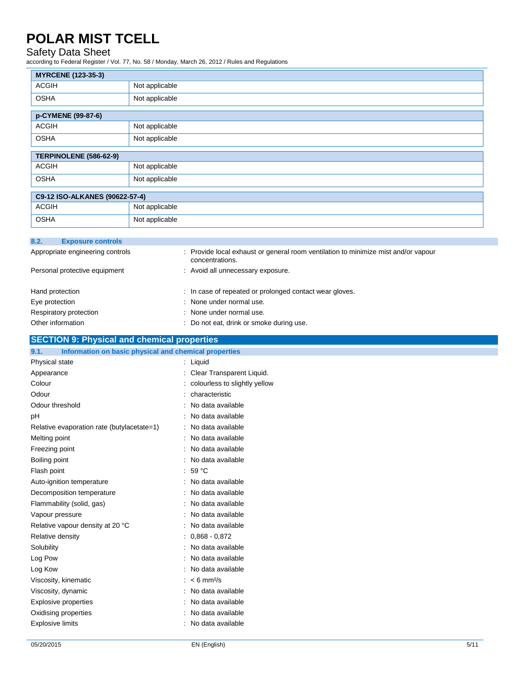## Safety Data Sheet

according to Federal Register / Vol. 77, No. 58 / Monday, March 26, 2012 / Rules and Regulations

| <b>MYRCENE (123-35-3)</b>                                            |                |                                                                                                       |
|----------------------------------------------------------------------|----------------|-------------------------------------------------------------------------------------------------------|
| <b>ACGIH</b>                                                         | Not applicable |                                                                                                       |
| <b>OSHA</b>                                                          | Not applicable |                                                                                                       |
| p-CYMENE (99-87-6)                                                   |                |                                                                                                       |
| <b>ACGIH</b>                                                         | Not applicable |                                                                                                       |
| <b>OSHA</b>                                                          | Not applicable |                                                                                                       |
| TERPINOLENE (586-62-9)                                               |                |                                                                                                       |
| <b>ACGIH</b>                                                         | Not applicable |                                                                                                       |
| <b>OSHA</b>                                                          | Not applicable |                                                                                                       |
| C9-12 ISO-ALKANES (90622-57-4)                                       |                |                                                                                                       |
| <b>ACGIH</b>                                                         | Not applicable |                                                                                                       |
| <b>OSHA</b>                                                          | Not applicable |                                                                                                       |
|                                                                      |                |                                                                                                       |
| 8.2.<br><b>Exposure controls</b><br>Appropriate engineering controls |                | : Provide local exhaust or general room ventilation to minimize mist and/or vapour<br>concentrations. |
| Personal protective equipment                                        |                | : Avoid all unnecessary exposure.                                                                     |
| Hand protection                                                      |                | : In case of repeated or prolonged contact wear gloves.                                               |
| Eye protection                                                       |                | : None under normal use.                                                                              |
| Respiratory protection                                               |                | : None under normal use.                                                                              |

## Other information **Other information** : Do not eat, drink or smoke during use.

| <b>SECTION 9: Physical and chemical properties</b>            |                               |  |
|---------------------------------------------------------------|-------------------------------|--|
| Information on basic physical and chemical properties<br>9.1. |                               |  |
| Physical state                                                | $:$ Liquid                    |  |
| Appearance                                                    | : Clear Transparent Liquid.   |  |
| Colour                                                        | colourless to slightly yellow |  |
| Odour                                                         | characteristic                |  |
| Odour threshold                                               | : No data available           |  |
| рH                                                            | : No data available           |  |
| Relative evaporation rate (butylacetate=1)                    | : No data available           |  |
| Melting point                                                 | : No data available           |  |
| Freezing point                                                | : No data available           |  |
| Boiling point                                                 | : No data available           |  |
| Flash point                                                   | $:59^{\circ}$ C               |  |
| Auto-ignition temperature                                     | : No data available           |  |
| Decomposition temperature                                     | : No data available           |  |
| Flammability (solid, gas)                                     | : No data available           |  |
| Vapour pressure                                               | : No data available           |  |
| Relative vapour density at 20 °C                              | : No data available           |  |
| Relative density                                              | $: 0.868 - 0.872$             |  |
| Solubility                                                    | : No data available           |  |
| Log Pow                                                       | : No data available           |  |
| Log Kow                                                       | : No data available           |  |
| Viscosity, kinematic                                          | $: 6 \text{ mm}^2\text{/s}$   |  |
| Viscosity, dynamic                                            | : No data available           |  |
| <b>Explosive properties</b>                                   | : No data available           |  |
| Oxidising properties                                          | : No data available           |  |
| <b>Explosive limits</b>                                       | : No data available           |  |
|                                                               |                               |  |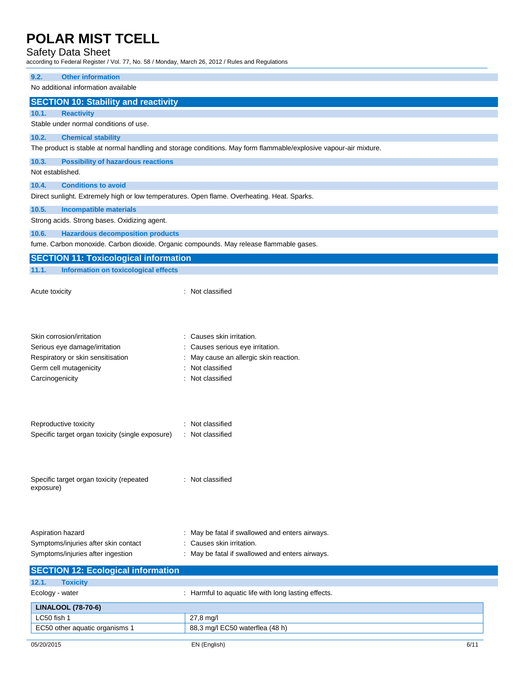## Safety Data Sheet

according to Federal Register / Vol. 77, No. 58 / Monday, March 26, 2012 / Rules and Regulations

#### **9.2. Other information**

No additional information available

#### **SECTION 10: Stability and reactivity**

#### **10.1. Reactivity**

Stable under normal conditions of use.

### **10.2. Chemical stability**

The product is stable at normal handling and storage conditions. May form flammable/explosive vapour-air mixture.

#### **10.3. Possibility of hazardous reactions**

Not established.

#### **10.4. Conditions to avoid**

Direct sunlight. Extremely high or low temperatures. Open flame. Overheating. Heat. Sparks.

#### **10.5. Incompatible materials**

Strong acids. Strong bases. Oxidizing agent.

#### **10.6. Hazardous decomposition products**

fume. Carbon monoxide. Carbon dioxide. Organic compounds. May release flammable gases.

| <b>SECTION 11: Toxicological information</b>     |                                                      |      |
|--------------------------------------------------|------------------------------------------------------|------|
| Information on toxicological effects<br>11.1.    |                                                      |      |
|                                                  |                                                      |      |
| Acute toxicity                                   | : Not classified                                     |      |
|                                                  |                                                      |      |
|                                                  |                                                      |      |
|                                                  |                                                      |      |
| Skin corrosion/irritation                        | : Causes skin irritation.                            |      |
| Serious eye damage/irritation                    | : Causes serious eye irritation.                     |      |
| Respiratory or skin sensitisation                | May cause an allergic skin reaction.                 |      |
| Germ cell mutagenicity                           | Not classified                                       |      |
| Carcinogenicity                                  | Not classified                                       |      |
|                                                  |                                                      |      |
|                                                  |                                                      |      |
|                                                  |                                                      |      |
| Reproductive toxicity                            | : Not classified                                     |      |
| Specific target organ toxicity (single exposure) | : Not classified                                     |      |
|                                                  |                                                      |      |
|                                                  |                                                      |      |
|                                                  |                                                      |      |
| Specific target organ toxicity (repeated         | : Not classified                                     |      |
| exposure)                                        |                                                      |      |
|                                                  |                                                      |      |
|                                                  |                                                      |      |
|                                                  |                                                      |      |
| Aspiration hazard                                | May be fatal if swallowed and enters airways.        |      |
| Symptoms/injuries after skin contact             | Causes skin irritation.                              |      |
| Symptoms/injuries after ingestion                | : May be fatal if swallowed and enters airways.      |      |
|                                                  |                                                      |      |
| <b>SECTION 12: Ecological information</b>        |                                                      |      |
| 12.1.<br><b>Toxicity</b>                         |                                                      |      |
| Ecology - water                                  | : Harmful to aquatic life with long lasting effects. |      |
| <b>LINALOOL (78-70-6)</b>                        |                                                      |      |
| LC50 fish 1                                      | 27,8 mg/l                                            |      |
| EC50 other aquatic organisms 1                   | 88,3 mg/l EC50 waterflea (48 h)                      |      |
| 05/20/2015                                       | EN (English)                                         | 6/11 |
|                                                  |                                                      |      |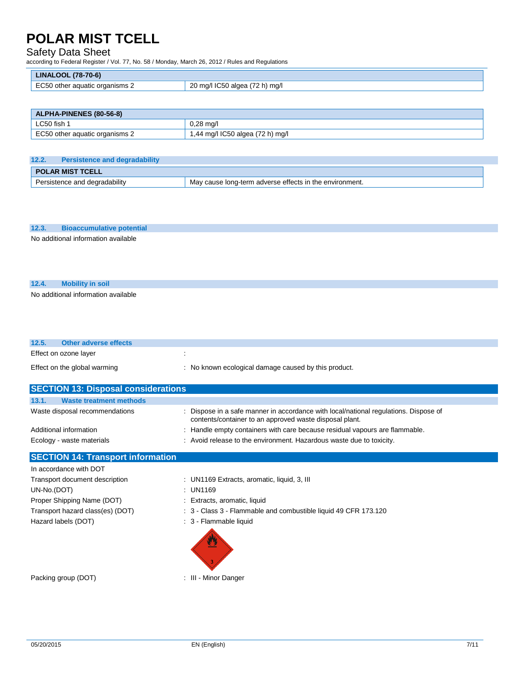### Safety Data Sheet

according to Federal Register / Vol. 77, No. 58 / Monday, March 26, 2012 / Rules and Regulations

| (78-70-6)<br>LINAL'<br>-OOL'                                 |                                                         |
|--------------------------------------------------------------|---------------------------------------------------------|
| <b>ECEC</b><br>: organisms 2<br>∖ othei<br>aquatic<br>$\sim$ | ററ<br>ma/<br>n<br>∵mo.<br>- IL 33<br>diudo<br>ZU<br>,,, |

| <b>ALPHA-PINENES (80-56-8)</b> |                                  |
|--------------------------------|----------------------------------|
| LC50 fish 1                    | $0.28$ ma/l                      |
| EC50 other aquatic organisms 2 | 1,44 mg/l IC50 algea (72 h) mg/l |

| 12.2.<br><b>Persistence and degradability</b>                                             |  |  |  |
|-------------------------------------------------------------------------------------------|--|--|--|
| <b>POLAR MIST TCELL</b>                                                                   |  |  |  |
| Persistence and degradability<br>'May cause long-term adverse effects in the environment. |  |  |  |

### **12.3. Bioaccumulative potential**

No additional information available

### **12.4. Mobility in soil**

No additional information available

| 12.5. | Other adverse effects        |                                                      |
|-------|------------------------------|------------------------------------------------------|
|       | Effect on ozone layer        |                                                      |
|       | Effect on the global warming | : No known ecological damage caused by this product. |

| <b>SECTION 13: Disposal considerations</b>          |                                                                                                                                                     |  |  |  |
|-----------------------------------------------------|-----------------------------------------------------------------------------------------------------------------------------------------------------|--|--|--|
| 13.1.<br><b>Waste treatment methods</b>             |                                                                                                                                                     |  |  |  |
| Waste disposal recommendations                      | : Dispose in a safe manner in accordance with local/national regulations. Dispose of<br>contents/container to an approved waste disposal plant.     |  |  |  |
| Additional information<br>Ecology - waste materials | : Handle empty containers with care because residual vapours are flammable.<br>: Avoid release to the environment. Hazardous waste due to toxicity. |  |  |  |

## **SECTION 14: Transport information**

| In accordance with DOT           |                                                                 |
|----------------------------------|-----------------------------------------------------------------|
| Transport document description   | : UN1169 Extracts, aromatic, liquid, 3, III                     |
| UN-No.(DOT)                      | : UN1169                                                        |
| Proper Shipping Name (DOT)       | : Extracts, aromatic, liquid                                    |
| Transport hazard class(es) (DOT) | : 3 - Class 3 - Flammable and combustible liquid 49 CFR 173.120 |
| Hazard labels (DOT)              | : 3 - Flammable liquid                                          |
|                                  |                                                                 |

Packing group (DOT) **:** III - Minor Danger

 $\overline{3}$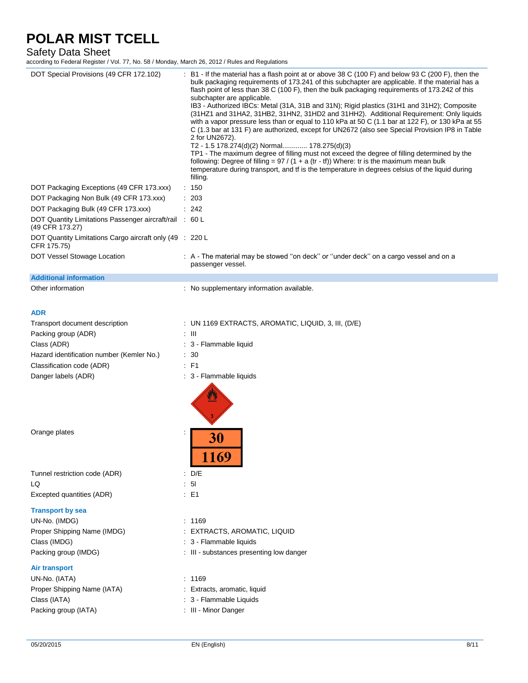### Safety Data Sheet

according to Federal Register / Vol. 77, No. 58 / Monday, March 26, 2012 / Rules and Regulations

| DOT Special Provisions (49 CFR 172.102)<br>DOT Packaging Exceptions (49 CFR 173.xxx)<br>DOT Packaging Non Bulk (49 CFR 173.xxx)<br>DOT Packaging Bulk (49 CFR 173.xxx)<br>DOT Quantity Limitations Passenger aircraft/rail<br>(49 CFR 173.27) | B1 - If the material has a flash point at or above 38 C (100 F) and below 93 C (200 F), then the<br>bulk packaging requirements of 173.241 of this subchapter are applicable. If the material has a<br>flash point of less than 38 C (100 F), then the bulk packaging requirements of 173.242 of this<br>subchapter are applicable.<br>IB3 - Authorized IBCs: Metal (31A, 31B and 31N); Rigid plastics (31H1 and 31H2); Composite<br>(31HZ1 and 31HA2, 31HB2, 31HN2, 31HD2 and 31HH2). Additional Requirement: Only liquids<br>with a vapor pressure less than or equal to 110 kPa at 50 C (1.1 bar at 122 F), or 130 kPa at 55<br>C (1.3 bar at 131 F) are authorized, except for UN2672 (also see Special Provision IP8 in Table<br>2 for UN2672).<br>T2 - 1.5 178.274(d)(2) Normal 178.275(d)(3)<br>TP1 - The maximum degree of filling must not exceed the degree of filling determined by the<br>following: Degree of filling = $97 / (1 + a (tr - tf))$ Where: tr is the maximum mean bulk<br>temperature during transport, and tf is the temperature in degrees celsius of the liquid during<br>filling.<br>: 150<br>: 203<br>: 242<br>$\therefore 60 \, \mathsf{L}$ |
|-----------------------------------------------------------------------------------------------------------------------------------------------------------------------------------------------------------------------------------------------|-----------------------------------------------------------------------------------------------------------------------------------------------------------------------------------------------------------------------------------------------------------------------------------------------------------------------------------------------------------------------------------------------------------------------------------------------------------------------------------------------------------------------------------------------------------------------------------------------------------------------------------------------------------------------------------------------------------------------------------------------------------------------------------------------------------------------------------------------------------------------------------------------------------------------------------------------------------------------------------------------------------------------------------------------------------------------------------------------------------------------------------------------------------------------------|
| DOT Quantity Limitations Cargo aircraft only (49 : 220 L<br>CFR 175.75)                                                                                                                                                                       |                                                                                                                                                                                                                                                                                                                                                                                                                                                                                                                                                                                                                                                                                                                                                                                                                                                                                                                                                                                                                                                                                                                                                                             |
| DOT Vessel Stowage Location                                                                                                                                                                                                                   | : A - The material may be stowed "on deck" or "under deck" on a cargo vessel and on a<br>passenger vessel.                                                                                                                                                                                                                                                                                                                                                                                                                                                                                                                                                                                                                                                                                                                                                                                                                                                                                                                                                                                                                                                                  |
| <b>Additional information</b>                                                                                                                                                                                                                 |                                                                                                                                                                                                                                                                                                                                                                                                                                                                                                                                                                                                                                                                                                                                                                                                                                                                                                                                                                                                                                                                                                                                                                             |
| Other information                                                                                                                                                                                                                             | : No supplementary information available.                                                                                                                                                                                                                                                                                                                                                                                                                                                                                                                                                                                                                                                                                                                                                                                                                                                                                                                                                                                                                                                                                                                                   |
| <b>ADR</b>                                                                                                                                                                                                                                    |                                                                                                                                                                                                                                                                                                                                                                                                                                                                                                                                                                                                                                                                                                                                                                                                                                                                                                                                                                                                                                                                                                                                                                             |
| Transport document description                                                                                                                                                                                                                | : UN 1169 EXTRACTS, AROMATIC, LIQUID, 3, III, $(D/E)$                                                                                                                                                                                                                                                                                                                                                                                                                                                                                                                                                                                                                                                                                                                                                                                                                                                                                                                                                                                                                                                                                                                       |
| Packing group (ADR)                                                                                                                                                                                                                           | : III                                                                                                                                                                                                                                                                                                                                                                                                                                                                                                                                                                                                                                                                                                                                                                                                                                                                                                                                                                                                                                                                                                                                                                       |
| Class (ADR)                                                                                                                                                                                                                                   | : 3 - Flammable liquid                                                                                                                                                                                                                                                                                                                                                                                                                                                                                                                                                                                                                                                                                                                                                                                                                                                                                                                                                                                                                                                                                                                                                      |
| Hazard identification number (Kemler No.)                                                                                                                                                                                                     | : 30                                                                                                                                                                                                                                                                                                                                                                                                                                                                                                                                                                                                                                                                                                                                                                                                                                                                                                                                                                                                                                                                                                                                                                        |
| Classification code (ADR)                                                                                                                                                                                                                     | $E$ F1                                                                                                                                                                                                                                                                                                                                                                                                                                                                                                                                                                                                                                                                                                                                                                                                                                                                                                                                                                                                                                                                                                                                                                      |
| Danger labels (ADR)                                                                                                                                                                                                                           | : 3 - Flammable liquids                                                                                                                                                                                                                                                                                                                                                                                                                                                                                                                                                                                                                                                                                                                                                                                                                                                                                                                                                                                                                                                                                                                                                     |
| Orange plates                                                                                                                                                                                                                                 | 30                                                                                                                                                                                                                                                                                                                                                                                                                                                                                                                                                                                                                                                                                                                                                                                                                                                                                                                                                                                                                                                                                                                                                                          |
|                                                                                                                                                                                                                                               | 1169                                                                                                                                                                                                                                                                                                                                                                                                                                                                                                                                                                                                                                                                                                                                                                                                                                                                                                                                                                                                                                                                                                                                                                        |
| Tunnel restriction code (ADR)                                                                                                                                                                                                                 | $\therefore$ D/E                                                                                                                                                                                                                                                                                                                                                                                                                                                                                                                                                                                                                                                                                                                                                                                                                                                                                                                                                                                                                                                                                                                                                            |
| LQ                                                                                                                                                                                                                                            | $\therefore$ 5                                                                                                                                                                                                                                                                                                                                                                                                                                                                                                                                                                                                                                                                                                                                                                                                                                                                                                                                                                                                                                                                                                                                                              |
| Excepted quantities (ADR)                                                                                                                                                                                                                     | $\therefore$ E1                                                                                                                                                                                                                                                                                                                                                                                                                                                                                                                                                                                                                                                                                                                                                                                                                                                                                                                                                                                                                                                                                                                                                             |
| <b>Transport by sea</b>                                                                                                                                                                                                                       |                                                                                                                                                                                                                                                                                                                                                                                                                                                                                                                                                                                                                                                                                                                                                                                                                                                                                                                                                                                                                                                                                                                                                                             |
| UN-No. (IMDG)                                                                                                                                                                                                                                 | : 1169                                                                                                                                                                                                                                                                                                                                                                                                                                                                                                                                                                                                                                                                                                                                                                                                                                                                                                                                                                                                                                                                                                                                                                      |
| Proper Shipping Name (IMDG)                                                                                                                                                                                                                   | EXTRACTS, AROMATIC, LIQUID                                                                                                                                                                                                                                                                                                                                                                                                                                                                                                                                                                                                                                                                                                                                                                                                                                                                                                                                                                                                                                                                                                                                                  |
| Class (IMDG)                                                                                                                                                                                                                                  | : 3 - Flammable liquids                                                                                                                                                                                                                                                                                                                                                                                                                                                                                                                                                                                                                                                                                                                                                                                                                                                                                                                                                                                                                                                                                                                                                     |
| Packing group (IMDG)                                                                                                                                                                                                                          | : III - substances presenting low danger                                                                                                                                                                                                                                                                                                                                                                                                                                                                                                                                                                                                                                                                                                                                                                                                                                                                                                                                                                                                                                                                                                                                    |
| <b>Air transport</b>                                                                                                                                                                                                                          |                                                                                                                                                                                                                                                                                                                                                                                                                                                                                                                                                                                                                                                                                                                                                                                                                                                                                                                                                                                                                                                                                                                                                                             |
| UN-No. (IATA)                                                                                                                                                                                                                                 | : 1169                                                                                                                                                                                                                                                                                                                                                                                                                                                                                                                                                                                                                                                                                                                                                                                                                                                                                                                                                                                                                                                                                                                                                                      |
| Proper Shipping Name (IATA)                                                                                                                                                                                                                   | : Extracts, aromatic, liquid                                                                                                                                                                                                                                                                                                                                                                                                                                                                                                                                                                                                                                                                                                                                                                                                                                                                                                                                                                                                                                                                                                                                                |
| Class (IATA)                                                                                                                                                                                                                                  | : 3 - Flammable Liquids                                                                                                                                                                                                                                                                                                                                                                                                                                                                                                                                                                                                                                                                                                                                                                                                                                                                                                                                                                                                                                                                                                                                                     |
| Packing group (IATA)                                                                                                                                                                                                                          | : III - Minor Danger                                                                                                                                                                                                                                                                                                                                                                                                                                                                                                                                                                                                                                                                                                                                                                                                                                                                                                                                                                                                                                                                                                                                                        |
| 05/20/2015                                                                                                                                                                                                                                    | EN (English)<br>8/11                                                                                                                                                                                                                                                                                                                                                                                                                                                                                                                                                                                                                                                                                                                                                                                                                                                                                                                                                                                                                                                                                                                                                        |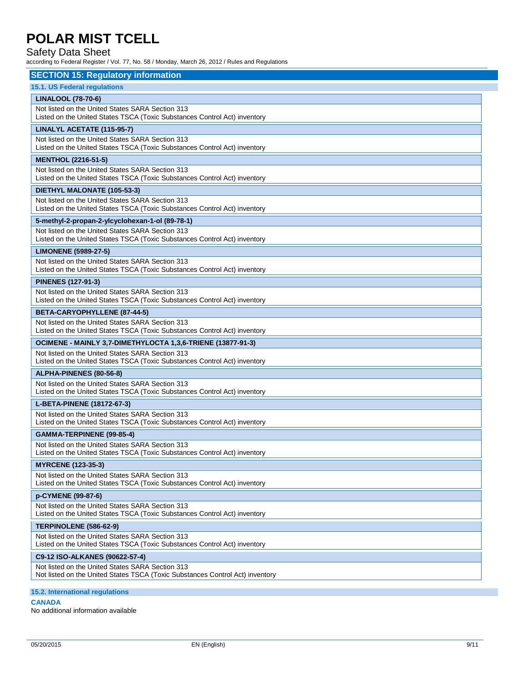### Safety Data Sheet

according to Federal Register / Vol. 77, No. 58 / Monday, March 26, 2012 / Rules and Regulations

| <b>SECTION 15: Regulatory information</b>                                                                                         |  |  |  |
|-----------------------------------------------------------------------------------------------------------------------------------|--|--|--|
| 15.1. US Federal regulations                                                                                                      |  |  |  |
| <b>LINALOOL (78-70-6)</b>                                                                                                         |  |  |  |
| Not listed on the United States SARA Section 313<br>Listed on the United States TSCA (Toxic Substances Control Act) inventory     |  |  |  |
| LINALYL ACETATE (115-95-7)                                                                                                        |  |  |  |
| Not listed on the United States SARA Section 313<br>Listed on the United States TSCA (Toxic Substances Control Act) inventory     |  |  |  |
| <b>MENTHOL (2216-51-5)</b>                                                                                                        |  |  |  |
| Not listed on the United States SARA Section 313<br>Listed on the United States TSCA (Toxic Substances Control Act) inventory     |  |  |  |
| DIETHYL MALONATE (105-53-3)                                                                                                       |  |  |  |
| Not listed on the United States SARA Section 313<br>Listed on the United States TSCA (Toxic Substances Control Act) inventory     |  |  |  |
| 5-methyl-2-propan-2-ylcyclohexan-1-ol (89-78-1)                                                                                   |  |  |  |
| Not listed on the United States SARA Section 313<br>Listed on the United States TSCA (Toxic Substances Control Act) inventory     |  |  |  |
| <b>LIMONENE (5989-27-5)</b>                                                                                                       |  |  |  |
| Not listed on the United States SARA Section 313<br>Listed on the United States TSCA (Toxic Substances Control Act) inventory     |  |  |  |
| <b>PINENES (127-91-3)</b>                                                                                                         |  |  |  |
| Not listed on the United States SARA Section 313<br>Listed on the United States TSCA (Toxic Substances Control Act) inventory     |  |  |  |
| BETA-CARYOPHYLLENE (87-44-5)                                                                                                      |  |  |  |
| Not listed on the United States SARA Section 313<br>Listed on the United States TSCA (Toxic Substances Control Act) inventory     |  |  |  |
| OCIMENE - MAINLY 3,7-DIMETHYLOCTA 1,3,6-TRIENE (13877-91-3)                                                                       |  |  |  |
| Not listed on the United States SARA Section 313<br>Listed on the United States TSCA (Toxic Substances Control Act) inventory     |  |  |  |
| ALPHA-PINENES (80-56-8)                                                                                                           |  |  |  |
| Not listed on the United States SARA Section 313<br>Listed on the United States TSCA (Toxic Substances Control Act) inventory     |  |  |  |
| L-BETA-PINENE (18172-67-3)                                                                                                        |  |  |  |
| Not listed on the United States SARA Section 313<br>Listed on the United States TSCA (Toxic Substances Control Act) inventory     |  |  |  |
| GAMMA-TERPINENE (99-85-4)                                                                                                         |  |  |  |
| Not listed on the United States SARA Section 313<br>Listed on the United States TSCA (Toxic Substances Control Act) inventory     |  |  |  |
| <b>MYRCENE (123-35-3)</b>                                                                                                         |  |  |  |
| Not listed on the United States SARA Section 313<br>Listed on the United States TSCA (Toxic Substances Control Act) inventory     |  |  |  |
| p-CYMENE (99-87-6)                                                                                                                |  |  |  |
| Not listed on the United States SARA Section 313<br>Listed on the United States TSCA (Toxic Substances Control Act) inventory     |  |  |  |
| TERPINOLENE (586-62-9)                                                                                                            |  |  |  |
| Not listed on the United States SARA Section 313<br>Listed on the United States TSCA (Toxic Substances Control Act) inventory     |  |  |  |
| C9-12 ISO-ALKANES (90622-57-4)                                                                                                    |  |  |  |
| Not listed on the United States SARA Section 313<br>Not listed on the United States TSCA (Toxic Substances Control Act) inventory |  |  |  |

**15.2. International regulations**

**CANADA**

No additional information available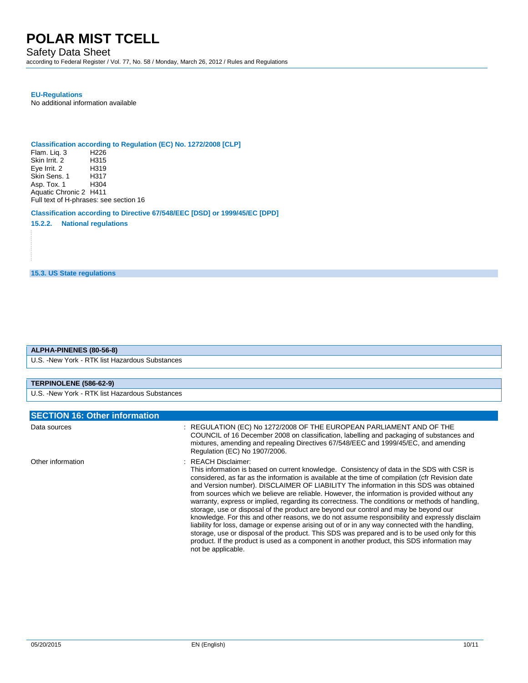## Safety Data Sheet

according to Federal Register / Vol. 77, No. 58 / Monday, March 26, 2012 / Rules and Regulations

### **EU-Regulations**

No additional information available

## **Classification according to Regulation (EC) No. 1272/2008 [CLP]**

Flam. Liq. 3 H226<br>Skin Irrit. 2 H315 Skin Irrit. 2 Eye Irrit. 2 H319<br>Skin Sens. 1 H317 Skin Sens. 1 H317 Asp. Tox. 1 Aquatic Chronic 2 H411 Full text of H-phrases: see section 16

### **Classification according to Directive 67/548/EEC [DSD] or 1999/45/EC [DPD]**

**15.2.2. National regulations**

**15.3. US State regulations**

#### **ALPHA-PINENES (80-56-8)**

U.S. -New York - RTK list Hazardous Substances

### **TERPINOLENE (586-62-9)**

U.S. -New York - RTK list Hazardous Substances

| <b>SECTION 16: Other information</b> |                                                                                                                                                                                                                                                                                                                                                                                                                                                                                                                                                                                                                                                                                                                                                                                                                                                                                                                                                                                                                                      |  |
|--------------------------------------|--------------------------------------------------------------------------------------------------------------------------------------------------------------------------------------------------------------------------------------------------------------------------------------------------------------------------------------------------------------------------------------------------------------------------------------------------------------------------------------------------------------------------------------------------------------------------------------------------------------------------------------------------------------------------------------------------------------------------------------------------------------------------------------------------------------------------------------------------------------------------------------------------------------------------------------------------------------------------------------------------------------------------------------|--|
| Data sources                         | : REGULATION (EC) No 1272/2008 OF THE EUROPEAN PARLIAMENT AND OF THE<br>COUNCIL of 16 December 2008 on classification, labelling and packaging of substances and<br>mixtures, amending and repealing Directives 67/548/EEC and 1999/45/EC, and amending<br>Regulation (EC) No 1907/2006.                                                                                                                                                                                                                                                                                                                                                                                                                                                                                                                                                                                                                                                                                                                                             |  |
| Other information                    | : REACH Disclaimer:<br>This information is based on current knowledge. Consistency of data in the SDS with CSR is<br>considered, as far as the information is available at the time of compilation (cfr Revision date<br>and Version number). DISCLAIMER OF LIABILITY The information in this SDS was obtained<br>from sources which we believe are reliable. However, the information is provided without any<br>warranty, express or implied, regarding its correctness. The conditions or methods of handling,<br>storage, use or disposal of the product are beyond our control and may be beyond our<br>knowledge. For this and other reasons, we do not assume responsibility and expressly disclaim<br>liability for loss, damage or expense arising out of or in any way connected with the handling.<br>storage, use or disposal of the product. This SDS was prepared and is to be used only for this<br>product. If the product is used as a component in another product, this SDS information may<br>not be applicable. |  |